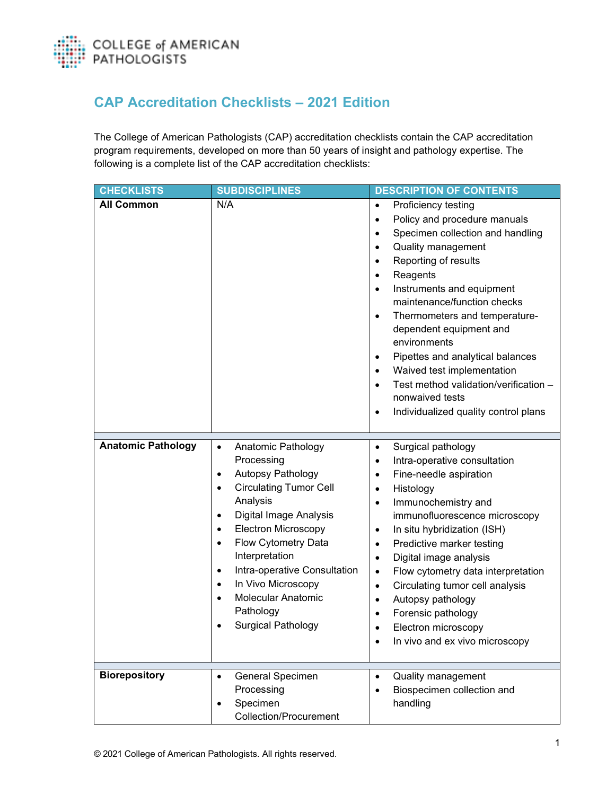

## **CAP Accreditation Checklists – 2021 Edition**

The College of American Pathologists (CAP) accreditation checklists contain the CAP accreditation program requirements, developed on more than 50 years of insight and pathology expertise. The following is a complete list of the CAP accreditation checklists:

| <b>CHECKLISTS</b>         | <b>SUBDISCIPLINES</b>                                                                                                                                                                                                                                                                                                                                                                                                                           | <b>DESCRIPTION OF CONTENTS</b>                                                                                                                                                                                                                                                                                                                                                                                                                                                                                                                                                                                                     |
|---------------------------|-------------------------------------------------------------------------------------------------------------------------------------------------------------------------------------------------------------------------------------------------------------------------------------------------------------------------------------------------------------------------------------------------------------------------------------------------|------------------------------------------------------------------------------------------------------------------------------------------------------------------------------------------------------------------------------------------------------------------------------------------------------------------------------------------------------------------------------------------------------------------------------------------------------------------------------------------------------------------------------------------------------------------------------------------------------------------------------------|
| <b>All Common</b>         | N/A                                                                                                                                                                                                                                                                                                                                                                                                                                             | Proficiency testing<br>$\bullet$<br>Policy and procedure manuals<br>$\bullet$<br>Specimen collection and handling<br>$\bullet$<br><b>Quality management</b><br>$\bullet$<br>Reporting of results<br>$\bullet$<br>Reagents<br>$\bullet$<br>Instruments and equipment<br>$\bullet$<br>maintenance/function checks<br>Thermometers and temperature-<br>$\bullet$<br>dependent equipment and<br>environments<br>Pipettes and analytical balances<br>$\bullet$<br>Waived test implementation<br>$\bullet$<br>Test method validation/verification -<br>$\bullet$<br>nonwaived tests<br>Individualized quality control plans<br>$\bullet$ |
| <b>Anatomic Pathology</b> | Anatomic Pathology<br>$\bullet$<br>Processing<br><b>Autopsy Pathology</b><br>$\bullet$<br><b>Circulating Tumor Cell</b><br>$\bullet$<br>Analysis<br>Digital Image Analysis<br>$\bullet$<br><b>Electron Microscopy</b><br>$\bullet$<br>Flow Cytometry Data<br>$\bullet$<br>Interpretation<br>Intra-operative Consultation<br>$\bullet$<br>In Vivo Microscopy<br>$\bullet$<br><b>Molecular Anatomic</b><br>Pathology<br><b>Surgical Pathology</b> | Surgical pathology<br>$\bullet$<br>Intra-operative consultation<br>$\bullet$<br>Fine-needle aspiration<br>$\bullet$<br>Histology<br>$\bullet$<br>Immunochemistry and<br>$\bullet$<br>immunofluorescence microscopy<br>In situ hybridization (ISH)<br>$\bullet$<br>Predictive marker testing<br>$\bullet$<br>Digital image analysis<br>$\bullet$<br>Flow cytometry data interpretation<br>$\bullet$<br>Circulating tumor cell analysis<br>$\bullet$<br>Autopsy pathology<br>$\bullet$<br>Forensic pathology<br>Electron microscopy<br>In vivo and ex vivo microscopy<br>$\bullet$                                                   |
| <b>Biorepository</b>      | General Specimen<br>$\bullet$<br>Processing<br>Specimen<br>$\bullet$<br><b>Collection/Procurement</b>                                                                                                                                                                                                                                                                                                                                           | <b>Quality management</b><br>$\bullet$<br>Biospecimen collection and<br>$\bullet$<br>handling                                                                                                                                                                                                                                                                                                                                                                                                                                                                                                                                      |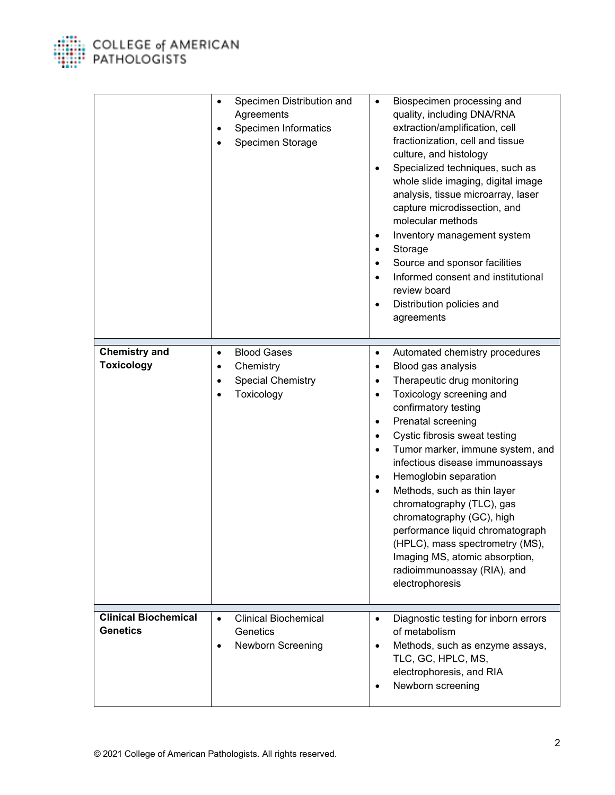

|                                                | Specimen Distribution and<br>$\bullet$<br>Agreements<br>Specimen Informatics<br>Specimen Storage                              | Biospecimen processing and<br>$\bullet$<br>quality, including DNA/RNA<br>extraction/amplification, cell<br>fractionization, cell and tissue<br>culture, and histology<br>Specialized techniques, such as<br>whole slide imaging, digital image<br>analysis, tissue microarray, laser<br>capture microdissection, and<br>molecular methods<br>Inventory management system<br>٠<br>Storage<br>٠<br>Source and sponsor facilities<br>Informed consent and institutional<br>review board<br>Distribution policies and<br>$\bullet$<br>agreements                                                                                               |
|------------------------------------------------|-------------------------------------------------------------------------------------------------------------------------------|--------------------------------------------------------------------------------------------------------------------------------------------------------------------------------------------------------------------------------------------------------------------------------------------------------------------------------------------------------------------------------------------------------------------------------------------------------------------------------------------------------------------------------------------------------------------------------------------------------------------------------------------|
| <b>Chemistry and</b><br><b>Toxicology</b>      | <b>Blood Gases</b><br>$\bullet$<br>Chemistry<br>$\bullet$<br><b>Special Chemistry</b><br>$\bullet$<br>Toxicology<br>$\bullet$ | Automated chemistry procedures<br>$\bullet$<br>Blood gas analysis<br>$\bullet$<br>Therapeutic drug monitoring<br>$\bullet$<br>Toxicology screening and<br>$\bullet$<br>confirmatory testing<br>Prenatal screening<br>٠<br>Cystic fibrosis sweat testing<br>Tumor marker, immune system, and<br>$\bullet$<br>infectious disease immunoassays<br>Hemoglobin separation<br>٠<br>Methods, such as thin layer<br>$\bullet$<br>chromatography (TLC), gas<br>chromatography (GC), high<br>performance liquid chromatograph<br>(HPLC), mass spectrometry (MS),<br>Imaging MS, atomic absorption,<br>radioimmunoassay (RIA), and<br>electrophoresis |
| <b>Clinical Biochemical</b><br><b>Genetics</b> | <b>Clinical Biochemical</b><br>$\bullet$<br>Genetics<br><b>Newborn Screening</b><br>$\bullet$                                 | Diagnostic testing for inborn errors<br>of metabolism<br>Methods, such as enzyme assays,<br>TLC, GC, HPLC, MS,<br>electrophoresis, and RIA<br>Newborn screening                                                                                                                                                                                                                                                                                                                                                                                                                                                                            |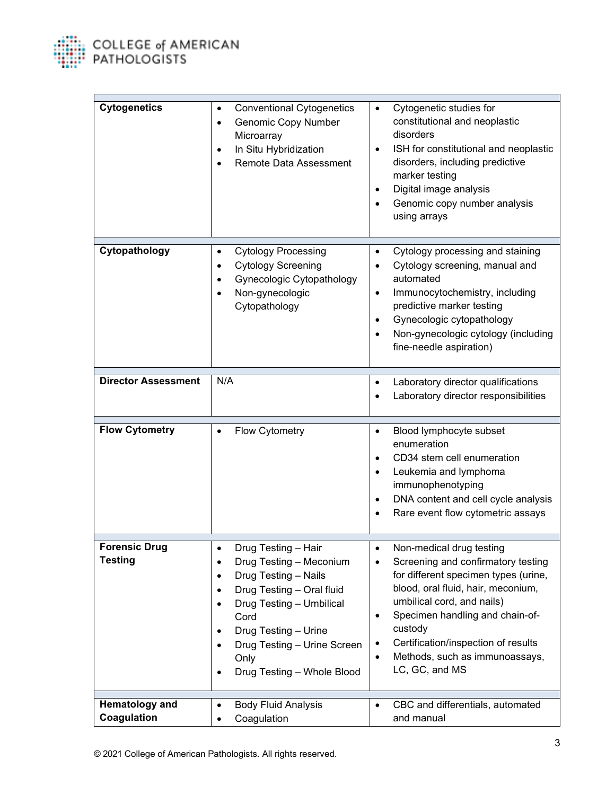

| <b>Cytogenetics</b>                    | <b>Conventional Cytogenetics</b><br>$\bullet$<br><b>Genomic Copy Number</b><br>$\bullet$<br>Microarray<br>In Situ Hybridization<br>Remote Data Assessment                                                                                                                                                  | Cytogenetic studies for<br>$\bullet$<br>constitutional and neoplastic<br>disorders<br>ISH for constitutional and neoplastic<br>$\bullet$<br>disorders, including predictive<br>marker testing<br>Digital image analysis<br>$\bullet$<br>Genomic copy number analysis<br>using arrays                                                          |
|----------------------------------------|------------------------------------------------------------------------------------------------------------------------------------------------------------------------------------------------------------------------------------------------------------------------------------------------------------|-----------------------------------------------------------------------------------------------------------------------------------------------------------------------------------------------------------------------------------------------------------------------------------------------------------------------------------------------|
| Cytopathology                          | <b>Cytology Processing</b><br>$\bullet$<br><b>Cytology Screening</b><br>٠<br>Gynecologic Cytopathology<br>Non-gynecologic<br>Cytopathology                                                                                                                                                                 | Cytology processing and staining<br>$\bullet$<br>Cytology screening, manual and<br>automated<br>Immunocytochemistry, including<br>$\bullet$<br>predictive marker testing<br>Gynecologic cytopathology<br>$\bullet$<br>Non-gynecologic cytology (including<br>$\bullet$<br>fine-needle aspiration)                                             |
| <b>Director Assessment</b>             | N/A                                                                                                                                                                                                                                                                                                        | Laboratory director qualifications<br>$\bullet$<br>Laboratory director responsibilities                                                                                                                                                                                                                                                       |
| <b>Flow Cytometry</b>                  | Flow Cytometry<br>$\bullet$                                                                                                                                                                                                                                                                                | Blood lymphocyte subset<br>$\bullet$<br>enumeration<br>CD34 stem cell enumeration<br>$\bullet$<br>Leukemia and lymphoma<br>$\bullet$<br>immunophenotyping<br>DNA content and cell cycle analysis<br>Rare event flow cytometric assays                                                                                                         |
| <b>Forensic Drug</b><br><b>Testing</b> | Drug Testing – Hair<br>Drug Testing - Meconium<br>Drug Testing - Nails<br>٠<br>Drug Testing - Oral fluid<br>$\bullet$<br>Drug Testing - Umbilical<br>$\bullet$<br>Cord<br>Drug Testing - Urine<br>$\bullet$<br>Drug Testing - Urine Screen<br>$\bullet$<br>Only<br>Drug Testing - Whole Blood<br>$\bullet$ | Non-medical drug testing<br>Screening and confirmatory testing<br>for different specimen types (urine,<br>blood, oral fluid, hair, meconium,<br>umbilical cord, and nails)<br>Specimen handling and chain-of-<br>$\bullet$<br>custody<br>Certification/inspection of results<br>Methods, such as immunoassays,<br>$\bullet$<br>LC, GC, and MS |
| <b>Hematology and</b><br>Coagulation   | <b>Body Fluid Analysis</b><br>$\bullet$<br>Coagulation<br>$\bullet$                                                                                                                                                                                                                                        | CBC and differentials, automated<br>$\bullet$<br>and manual                                                                                                                                                                                                                                                                                   |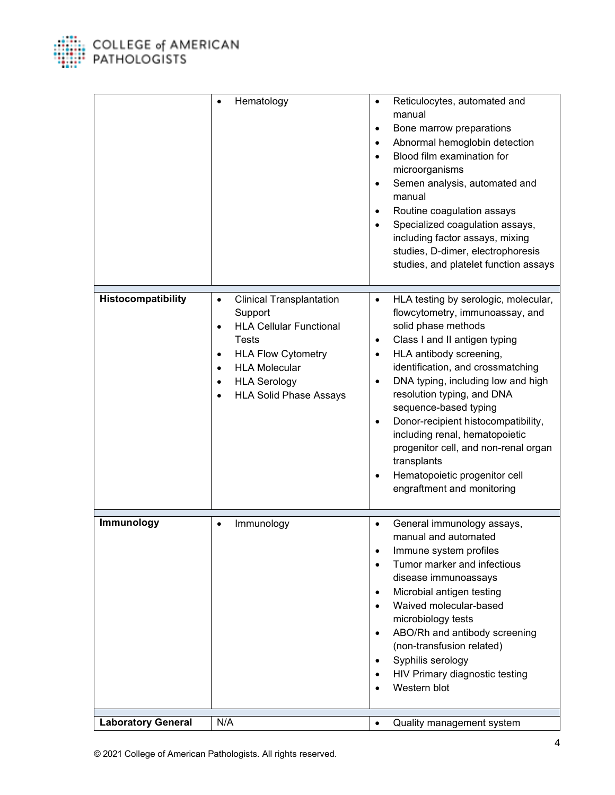

|                           | Hematology                                                                                                                                                                                                                                                    | Reticulocytes, automated and<br>$\bullet$<br>manual<br>Bone marrow preparations<br>$\bullet$<br>Abnormal hemoglobin detection<br>$\bullet$<br>Blood film examination for<br>$\bullet$<br>microorganisms<br>Semen analysis, automated and<br>$\bullet$<br>manual<br>Routine coagulation assays<br>$\bullet$<br>Specialized coagulation assays,<br>$\bullet$<br>including factor assays, mixing<br>studies, D-dimer, electrophoresis<br>studies, and platelet function assays                                                                                               |
|---------------------------|---------------------------------------------------------------------------------------------------------------------------------------------------------------------------------------------------------------------------------------------------------------|---------------------------------------------------------------------------------------------------------------------------------------------------------------------------------------------------------------------------------------------------------------------------------------------------------------------------------------------------------------------------------------------------------------------------------------------------------------------------------------------------------------------------------------------------------------------------|
| Histocompatibility        | <b>Clinical Transplantation</b><br>$\bullet$<br>Support<br><b>HLA Cellular Functional</b><br>$\bullet$<br><b>Tests</b><br><b>HLA Flow Cytometry</b><br>$\bullet$<br><b>HLA Molecular</b><br><b>HLA Serology</b><br>$\bullet$<br><b>HLA Solid Phase Assays</b> | HLA testing by serologic, molecular,<br>$\bullet$<br>flowcytometry, immunoassay, and<br>solid phase methods<br>Class I and II antigen typing<br>$\bullet$<br>HLA antibody screening,<br>$\bullet$<br>identification, and crossmatching<br>DNA typing, including low and high<br>$\bullet$<br>resolution typing, and DNA<br>sequence-based typing<br>Donor-recipient histocompatibility,<br>$\bullet$<br>including renal, hematopoietic<br>progenitor cell, and non-renal organ<br>transplants<br>Hematopoietic progenitor cell<br>$\bullet$<br>engraftment and monitoring |
| Immunology                | Immunology<br>$\bullet$                                                                                                                                                                                                                                       | General immunology assays,<br>$\bullet$<br>manual and automated<br>Immune system profiles<br>$\bullet$<br>Tumor marker and infectious<br>$\bullet$<br>disease immunoassays<br>Microbial antigen testing<br>$\bullet$<br>Waived molecular-based<br>$\bullet$<br>microbiology tests<br>ABO/Rh and antibody screening<br>$\bullet$<br>(non-transfusion related)<br>Syphilis serology<br>$\bullet$<br>HIV Primary diagnostic testing<br>Western blot                                                                                                                          |
| <b>Laboratory General</b> | N/A                                                                                                                                                                                                                                                           | Quality management system<br>$\bullet$                                                                                                                                                                                                                                                                                                                                                                                                                                                                                                                                    |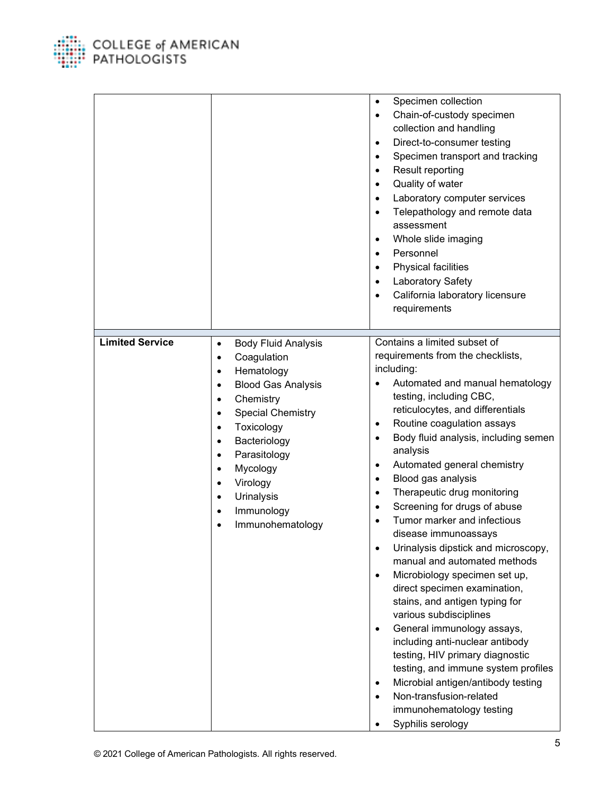

COLLEGE of AMERICAN<br>PATHOLOGISTS

|                        |                                                                                                                                                                                                                                                                                                                                                                                                                                           | Specimen collection<br>$\bullet$<br>Chain-of-custody specimen<br>$\bullet$<br>collection and handling<br>Direct-to-consumer testing<br>$\bullet$<br>Specimen transport and tracking<br>$\bullet$<br>Result reporting<br>$\bullet$<br>Quality of water<br>$\bullet$<br>Laboratory computer services<br>$\bullet$<br>Telepathology and remote data<br>$\bullet$<br>assessment<br>Whole slide imaging<br>٠<br>Personnel<br>$\bullet$<br>Physical facilities<br>$\bullet$<br>Laboratory Safety<br>California laboratory licensure<br>٠<br>requirements                                                                                                                                                                                                                                                                                                                                                                                                                                                         |
|------------------------|-------------------------------------------------------------------------------------------------------------------------------------------------------------------------------------------------------------------------------------------------------------------------------------------------------------------------------------------------------------------------------------------------------------------------------------------|------------------------------------------------------------------------------------------------------------------------------------------------------------------------------------------------------------------------------------------------------------------------------------------------------------------------------------------------------------------------------------------------------------------------------------------------------------------------------------------------------------------------------------------------------------------------------------------------------------------------------------------------------------------------------------------------------------------------------------------------------------------------------------------------------------------------------------------------------------------------------------------------------------------------------------------------------------------------------------------------------------|
| <b>Limited Service</b> | <b>Body Fluid Analysis</b><br>$\bullet$<br>Coagulation<br>$\bullet$<br>Hematology<br>$\bullet$<br><b>Blood Gas Analysis</b><br>$\bullet$<br>Chemistry<br>$\bullet$<br><b>Special Chemistry</b><br>$\bullet$<br>Toxicology<br>$\bullet$<br>Bacteriology<br>$\bullet$<br>Parasitology<br>$\bullet$<br>Mycology<br>$\bullet$<br>Virology<br>$\bullet$<br>Urinalysis<br>$\bullet$<br>Immunology<br>$\bullet$<br>Immunohematology<br>$\bullet$ | Contains a limited subset of<br>requirements from the checklists,<br>including:<br>Automated and manual hematology<br>testing, including CBC,<br>reticulocytes, and differentials<br>Routine coagulation assays<br>$\bullet$<br>Body fluid analysis, including semen<br>$\bullet$<br>analysis<br>Automated general chemistry<br>$\bullet$<br>Blood gas analysis<br>$\bullet$<br>Therapeutic drug monitoring<br>$\bullet$<br>Screening for drugs of abuse<br>$\bullet$<br>Tumor marker and infectious<br>disease immunoassays<br>Urinalysis dipstick and microscopy,<br>manual and automated methods<br>Microbiology specimen set up,<br>direct specimen examination,<br>stains, and antigen typing for<br>various subdisciplines<br>General immunology assays,<br>$\bullet$<br>including anti-nuclear antibody<br>testing, HIV primary diagnostic<br>testing, and immune system profiles<br>Microbial antigen/antibody testing<br>Non-transfusion-related<br>immunohematology testing<br>Syphilis serology |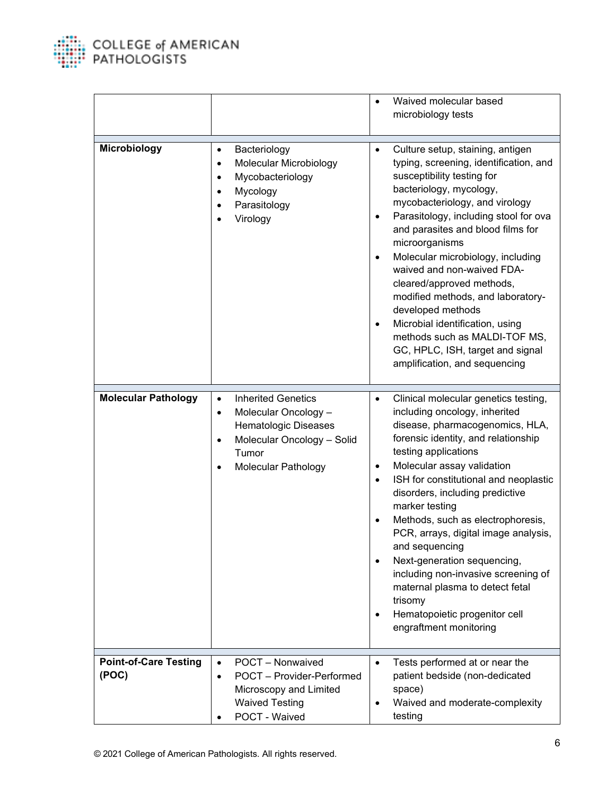

|                                       |                                                                                                                                                                                              | Waived molecular based<br>$\bullet$<br>microbiology tests                                                                                                                                                                                                                                                                                                                                                                                                                                                                                                                                                                                                       |
|---------------------------------------|----------------------------------------------------------------------------------------------------------------------------------------------------------------------------------------------|-----------------------------------------------------------------------------------------------------------------------------------------------------------------------------------------------------------------------------------------------------------------------------------------------------------------------------------------------------------------------------------------------------------------------------------------------------------------------------------------------------------------------------------------------------------------------------------------------------------------------------------------------------------------|
| Microbiology                          | Bacteriology<br>$\bullet$<br>Molecular Microbiology<br>$\bullet$<br>Mycobacteriology<br>$\bullet$<br>Mycology<br>$\bullet$<br>Parasitology<br>Virology                                       | Culture setup, staining, antigen<br>$\bullet$<br>typing, screening, identification, and<br>susceptibility testing for<br>bacteriology, mycology,<br>mycobacteriology, and virology<br>Parasitology, including stool for ova<br>$\bullet$<br>and parasites and blood films for<br>microorganisms<br>Molecular microbiology, including<br>$\bullet$<br>waived and non-waived FDA-<br>cleared/approved methods,<br>modified methods, and laboratory-<br>developed methods<br>Microbial identification, using<br>$\bullet$<br>methods such as MALDI-TOF MS,<br>GC, HPLC, ISH, target and signal<br>amplification, and sequencing                                    |
| <b>Molecular Pathology</b>            | <b>Inherited Genetics</b><br>$\bullet$<br>Molecular Oncology -<br>$\bullet$<br><b>Hematologic Diseases</b><br>Molecular Oncology - Solid<br>$\bullet$<br>Tumor<br><b>Molecular Pathology</b> | Clinical molecular genetics testing,<br>$\bullet$<br>including oncology, inherited<br>disease, pharmacogenomics, HLA,<br>forensic identity, and relationship<br>testing applications<br>Molecular assay validation<br>$\bullet$<br>ISH for constitutional and neoplastic<br>$\bullet$<br>disorders, including predictive<br>marker testing<br>Methods, such as electrophoresis,<br>$\bullet$<br>PCR, arrays, digital image analysis,<br>and sequencing<br>Next-generation sequencing,<br>$\bullet$<br>including non-invasive screening of<br>maternal plasma to detect fetal<br>trisomy<br>Hematopoietic progenitor cell<br>$\bullet$<br>engraftment monitoring |
| <b>Point-of-Care Testing</b><br>(POC) | POCT - Nonwaived<br>$\bullet$<br>POCT - Provider-Performed<br>$\bullet$<br>Microscopy and Limited<br><b>Waived Testing</b><br>POCT - Waived<br>$\bullet$                                     | Tests performed at or near the<br>$\bullet$<br>patient bedside (non-dedicated<br>space)<br>Waived and moderate-complexity<br>testing                                                                                                                                                                                                                                                                                                                                                                                                                                                                                                                            |